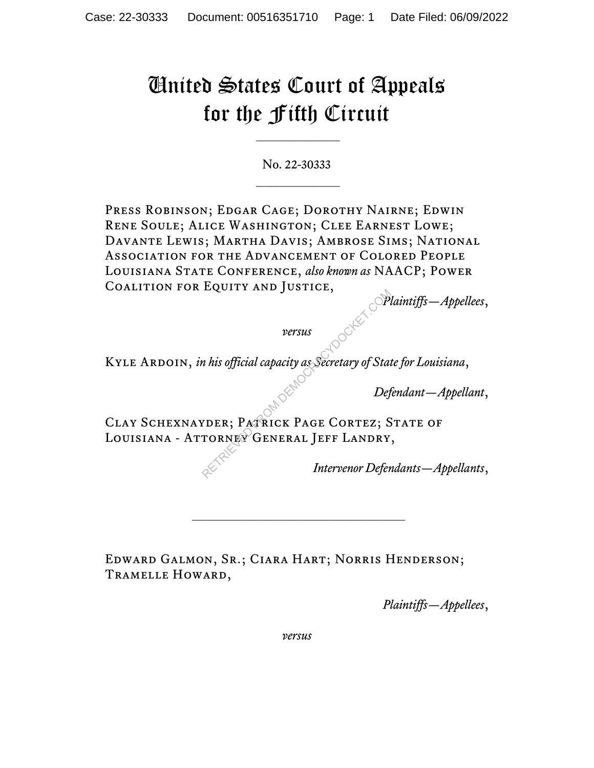## United States Court of Appeals for the Fifth Circuit

No. 22-30333  $\frac{1}{2}$ 

PRESS ROBINSON; EDGAR CAGE; DOROTHY NAIRNE; EDWIN Rene Soule; Alice Washington; Clee Earnest Lowe; Davante Lewis; Martha Davis; Ambrose Sims; National Association for the Advancement of Colored People Louisiana State Conference, *also known as* NAACP; Power Coalition for Equity and Justice,

*Plaintiffs—Appellees*,

*versus*

Kyle Ardoin, *in his official capacity as Secretary of State for Louisiana*,

*Defendant—Appellant*,

Clay Schexnayder; Patrick Page Cortez; State of LOUISIANA - ATTORNEY GENERAL JEFF LANDRY, Pressus<br>
Pressus<br>
Particula capacity as Secretary of State<br>
RETRICK PAGE CORTEZ; S<br>
RETRICK PAGE CORTEZ; S<br>
TORNEY GENERAL JEFF LANDRY<br>
Intervenor Defer

*Intervenor Defendants—Appellants*,

Edward Galmon, Sr.; Ciara Hart; Norris Henderson; Tramelle Howard,

\_\_\_\_\_\_\_\_\_\_\_\_\_\_\_\_\_\_\_\_\_\_\_\_\_\_\_\_

*Plaintiffs—Appellees*,

*versus*